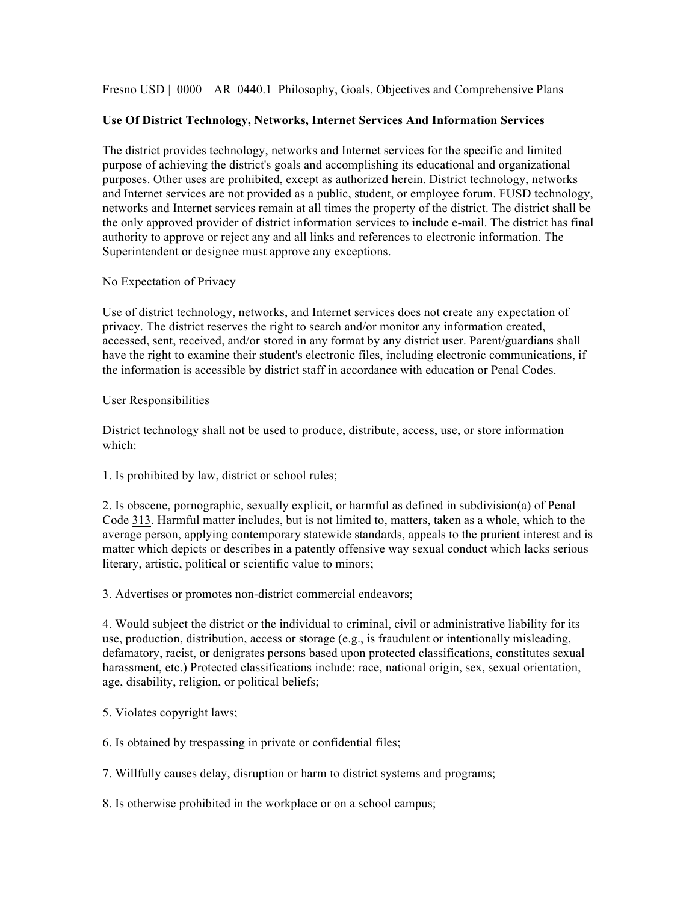Fresno USD | 0000 | AR 0440.1 Philosophy, Goals, Objectives and Comprehensive Plans

## **Use Of District Technology, Networks, Internet Services And Information Services**

The district provides technology, networks and Internet services for the specific and limited purpose of achieving the district's goals and accomplishing its educational and organizational purposes. Other uses are prohibited, except as authorized herein. District technology, networks and Internet services are not provided as a public, student, or employee forum. FUSD technology, networks and Internet services remain at all times the property of the district. The district shall be the only approved provider of district information services to include e-mail. The district has final authority to approve or reject any and all links and references to electronic information. The Superintendent or designee must approve any exceptions.

No Expectation of Privacy

Use of district technology, networks, and Internet services does not create any expectation of privacy. The district reserves the right to search and/or monitor any information created, accessed, sent, received, and/or stored in any format by any district user. Parent/guardians shall have the right to examine their student's electronic files, including electronic communications, if the information is accessible by district staff in accordance with education or Penal Codes.

## User Responsibilities

District technology shall not be used to produce, distribute, access, use, or store information which:

1. Is prohibited by law, district or school rules;

2. Is obscene, pornographic, sexually explicit, or harmful as defined in subdivision(a) of Penal Code 313. Harmful matter includes, but is not limited to, matters, taken as a whole, which to the average person, applying contemporary statewide standards, appeals to the prurient interest and is matter which depicts or describes in a patently offensive way sexual conduct which lacks serious literary, artistic, political or scientific value to minors;

3. Advertises or promotes non-district commercial endeavors;

4. Would subject the district or the individual to criminal, civil or administrative liability for its use, production, distribution, access or storage (e.g., is fraudulent or intentionally misleading, defamatory, racist, or denigrates persons based upon protected classifications, constitutes sexual harassment, etc.) Protected classifications include: race, national origin, sex, sexual orientation, age, disability, religion, or political beliefs;

5. Violates copyright laws;

6. Is obtained by trespassing in private or confidential files;

7. Willfully causes delay, disruption or harm to district systems and programs;

8. Is otherwise prohibited in the workplace or on a school campus;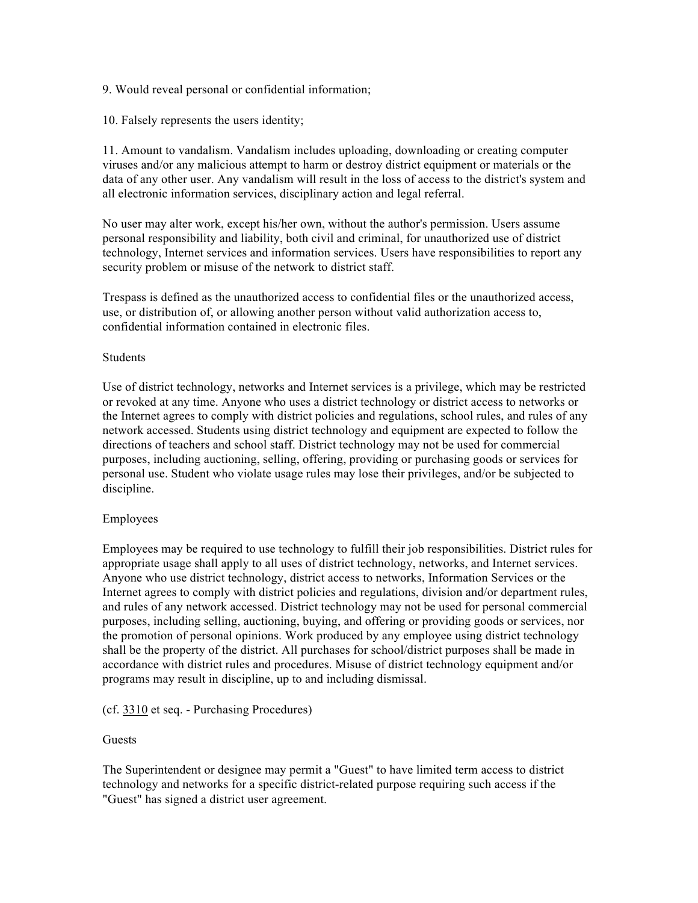9. Would reveal personal or confidential information;

10. Falsely represents the users identity;

11. Amount to vandalism. Vandalism includes uploading, downloading or creating computer viruses and/or any malicious attempt to harm or destroy district equipment or materials or the data of any other user. Any vandalism will result in the loss of access to the district's system and all electronic information services, disciplinary action and legal referral.

No user may alter work, except his/her own, without the author's permission. Users assume personal responsibility and liability, both civil and criminal, for unauthorized use of district technology, Internet services and information services. Users have responsibilities to report any security problem or misuse of the network to district staff.

Trespass is defined as the unauthorized access to confidential files or the unauthorized access, use, or distribution of, or allowing another person without valid authorization access to, confidential information contained in electronic files.

## Students

Use of district technology, networks and Internet services is a privilege, which may be restricted or revoked at any time. Anyone who uses a district technology or district access to networks or the Internet agrees to comply with district policies and regulations, school rules, and rules of any network accessed. Students using district technology and equipment are expected to follow the directions of teachers and school staff. District technology may not be used for commercial purposes, including auctioning, selling, offering, providing or purchasing goods or services for personal use. Student who violate usage rules may lose their privileges, and/or be subjected to discipline.

## Employees

Employees may be required to use technology to fulfill their job responsibilities. District rules for appropriate usage shall apply to all uses of district technology, networks, and Internet services. Anyone who use district technology, district access to networks, Information Services or the Internet agrees to comply with district policies and regulations, division and/or department rules, and rules of any network accessed. District technology may not be used for personal commercial purposes, including selling, auctioning, buying, and offering or providing goods or services, nor the promotion of personal opinions. Work produced by any employee using district technology shall be the property of the district. All purchases for school/district purposes shall be made in accordance with district rules and procedures. Misuse of district technology equipment and/or programs may result in discipline, up to and including dismissal.

## (cf. 3310 et seq. - Purchasing Procedures)

## Guests

The Superintendent or designee may permit a "Guest" to have limited term access to district technology and networks for a specific district-related purpose requiring such access if the "Guest" has signed a district user agreement.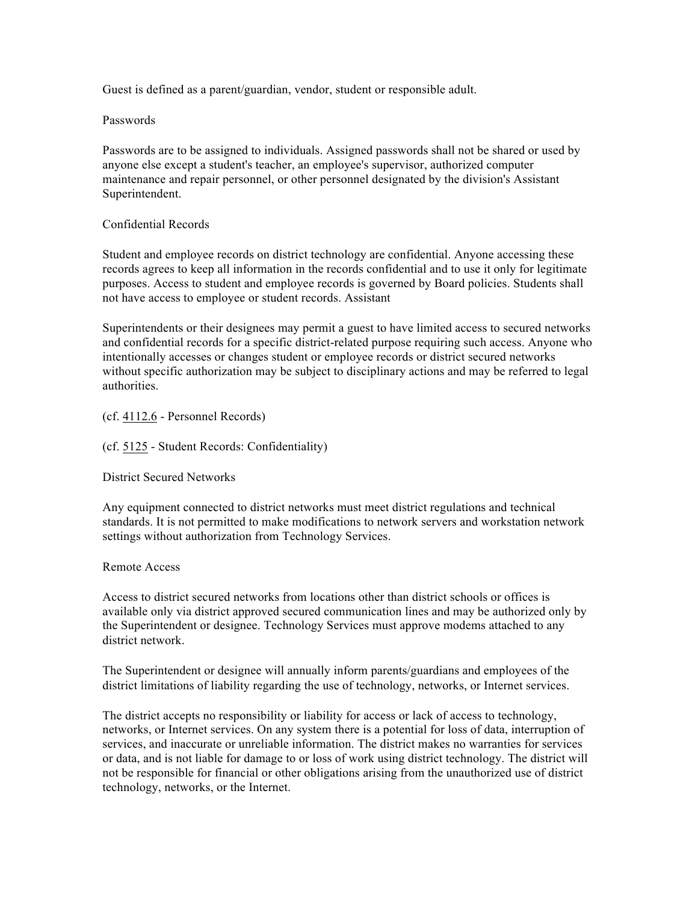Guest is defined as a parent/guardian, vendor, student or responsible adult.

## Passwords

Passwords are to be assigned to individuals. Assigned passwords shall not be shared or used by anyone else except a student's teacher, an employee's supervisor, authorized computer maintenance and repair personnel, or other personnel designated by the division's Assistant Superintendent.

## Confidential Records

Student and employee records on district technology are confidential. Anyone accessing these records agrees to keep all information in the records confidential and to use it only for legitimate purposes. Access to student and employee records is governed by Board policies. Students shall not have access to employee or student records. Assistant

Superintendents or their designees may permit a guest to have limited access to secured networks and confidential records for a specific district-related purpose requiring such access. Anyone who intentionally accesses or changes student or employee records or district secured networks without specific authorization may be subject to disciplinary actions and may be referred to legal authorities.

## (cf. 4112.6 - Personnel Records)

## (cf. 5125 - Student Records: Confidentiality)

District Secured Networks

Any equipment connected to district networks must meet district regulations and technical standards. It is not permitted to make modifications to network servers and workstation network settings without authorization from Technology Services.

#### Remote Access

Access to district secured networks from locations other than district schools or offices is available only via district approved secured communication lines and may be authorized only by the Superintendent or designee. Technology Services must approve modems attached to any district network.

The Superintendent or designee will annually inform parents/guardians and employees of the district limitations of liability regarding the use of technology, networks, or Internet services.

The district accepts no responsibility or liability for access or lack of access to technology, networks, or Internet services. On any system there is a potential for loss of data, interruption of services, and inaccurate or unreliable information. The district makes no warranties for services or data, and is not liable for damage to or loss of work using district technology. The district will not be responsible for financial or other obligations arising from the unauthorized use of district technology, networks, or the Internet.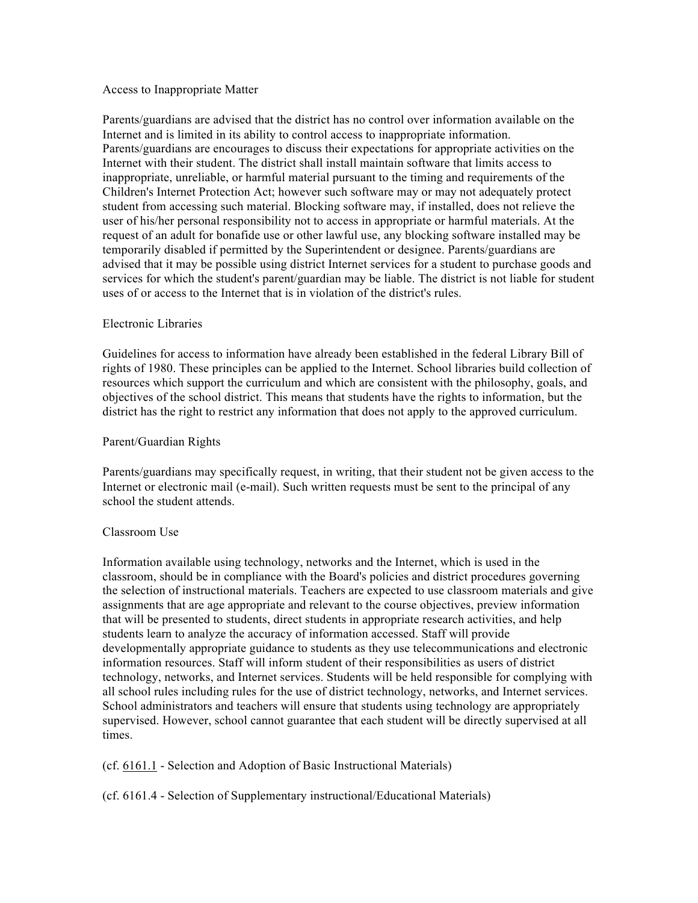#### Access to Inappropriate Matter

Parents/guardians are advised that the district has no control over information available on the Internet and is limited in its ability to control access to inappropriate information. Parents/guardians are encourages to discuss their expectations for appropriate activities on the Internet with their student. The district shall install maintain software that limits access to inappropriate, unreliable, or harmful material pursuant to the timing and requirements of the Children's Internet Protection Act; however such software may or may not adequately protect student from accessing such material. Blocking software may, if installed, does not relieve the user of his/her personal responsibility not to access in appropriate or harmful materials. At the request of an adult for bonafide use or other lawful use, any blocking software installed may be temporarily disabled if permitted by the Superintendent or designee. Parents/guardians are advised that it may be possible using district Internet services for a student to purchase goods and services for which the student's parent/guardian may be liable. The district is not liable for student uses of or access to the Internet that is in violation of the district's rules.

## Electronic Libraries

Guidelines for access to information have already been established in the federal Library Bill of rights of 1980. These principles can be applied to the Internet. School libraries build collection of resources which support the curriculum and which are consistent with the philosophy, goals, and objectives of the school district. This means that students have the rights to information, but the district has the right to restrict any information that does not apply to the approved curriculum.

## Parent/Guardian Rights

Parents/guardians may specifically request, in writing, that their student not be given access to the Internet or electronic mail (e-mail). Such written requests must be sent to the principal of any school the student attends.

#### Classroom Use

Information available using technology, networks and the Internet, which is used in the classroom, should be in compliance with the Board's policies and district procedures governing the selection of instructional materials. Teachers are expected to use classroom materials and give assignments that are age appropriate and relevant to the course objectives, preview information that will be presented to students, direct students in appropriate research activities, and help students learn to analyze the accuracy of information accessed. Staff will provide developmentally appropriate guidance to students as they use telecommunications and electronic information resources. Staff will inform student of their responsibilities as users of district technology, networks, and Internet services. Students will be held responsible for complying with all school rules including rules for the use of district technology, networks, and Internet services. School administrators and teachers will ensure that students using technology are appropriately supervised. However, school cannot guarantee that each student will be directly supervised at all times.

## (cf. 6161.1 - Selection and Adoption of Basic Instructional Materials)

(cf. 6161.4 - Selection of Supplementary instructional/Educational Materials)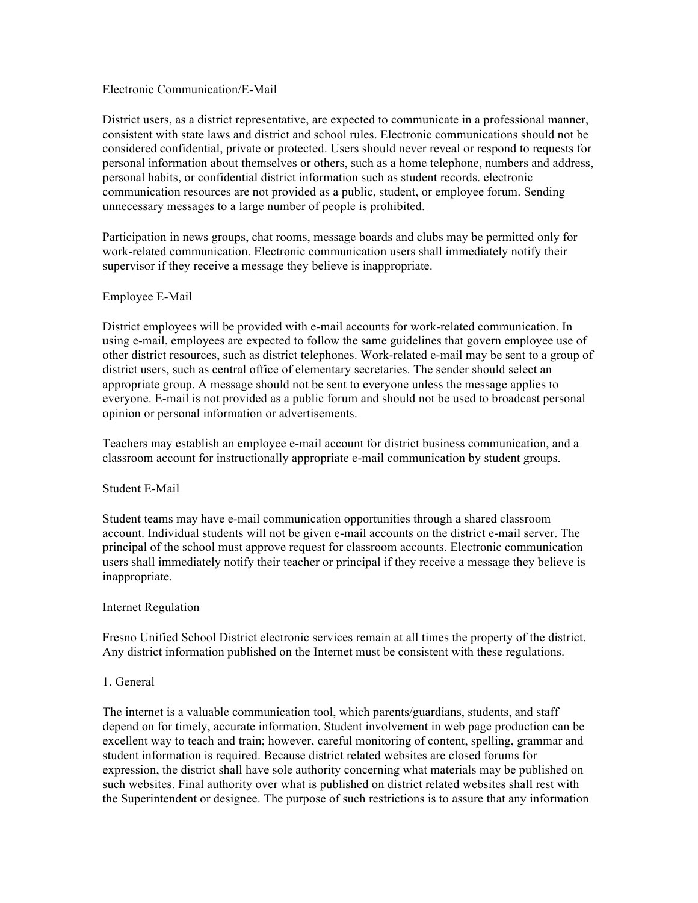#### Electronic Communication/E-Mail

District users, as a district representative, are expected to communicate in a professional manner, consistent with state laws and district and school rules. Electronic communications should not be considered confidential, private or protected. Users should never reveal or respond to requests for personal information about themselves or others, such as a home telephone, numbers and address, personal habits, or confidential district information such as student records. electronic communication resources are not provided as a public, student, or employee forum. Sending unnecessary messages to a large number of people is prohibited.

Participation in news groups, chat rooms, message boards and clubs may be permitted only for work-related communication. Electronic communication users shall immediately notify their supervisor if they receive a message they believe is inappropriate.

## Employee E-Mail

District employees will be provided with e-mail accounts for work-related communication. In using e-mail, employees are expected to follow the same guidelines that govern employee use of other district resources, such as district telephones. Work-related e-mail may be sent to a group of district users, such as central office of elementary secretaries. The sender should select an appropriate group. A message should not be sent to everyone unless the message applies to everyone. E-mail is not provided as a public forum and should not be used to broadcast personal opinion or personal information or advertisements.

Teachers may establish an employee e-mail account for district business communication, and a classroom account for instructionally appropriate e-mail communication by student groups.

#### Student E-Mail

Student teams may have e-mail communication opportunities through a shared classroom account. Individual students will not be given e-mail accounts on the district e-mail server. The principal of the school must approve request for classroom accounts. Electronic communication users shall immediately notify their teacher or principal if they receive a message they believe is inappropriate.

#### Internet Regulation

Fresno Unified School District electronic services remain at all times the property of the district. Any district information published on the Internet must be consistent with these regulations.

#### 1. General

The internet is a valuable communication tool, which parents/guardians, students, and staff depend on for timely, accurate information. Student involvement in web page production can be excellent way to teach and train; however, careful monitoring of content, spelling, grammar and student information is required. Because district related websites are closed forums for expression, the district shall have sole authority concerning what materials may be published on such websites. Final authority over what is published on district related websites shall rest with the Superintendent or designee. The purpose of such restrictions is to assure that any information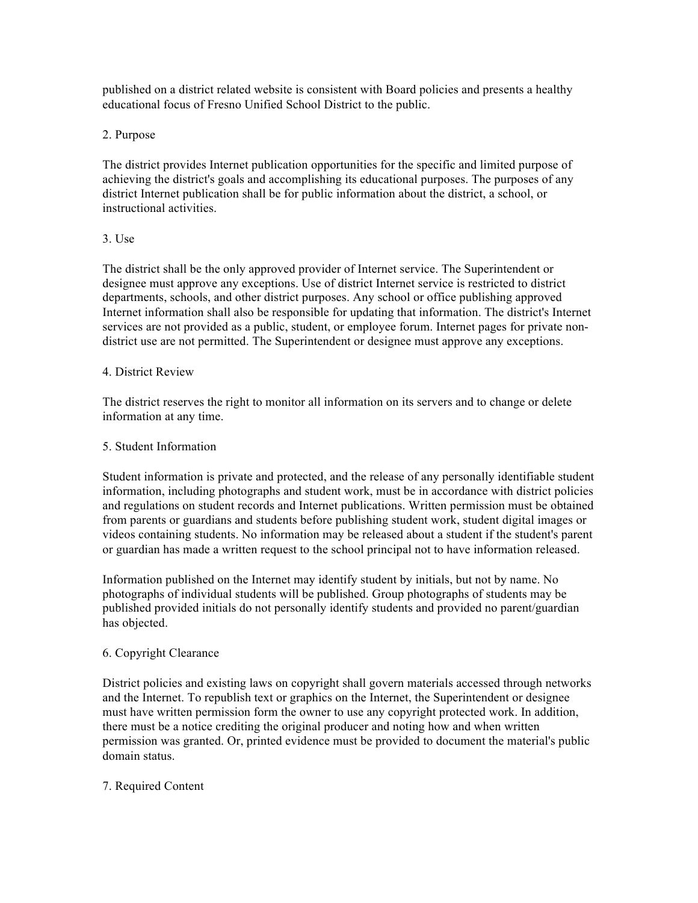published on a district related website is consistent with Board policies and presents a healthy educational focus of Fresno Unified School District to the public.

## 2. Purpose

The district provides Internet publication opportunities for the specific and limited purpose of achieving the district's goals and accomplishing its educational purposes. The purposes of any district Internet publication shall be for public information about the district, a school, or instructional activities.

## 3. Use

The district shall be the only approved provider of Internet service. The Superintendent or designee must approve any exceptions. Use of district Internet service is restricted to district departments, schools, and other district purposes. Any school or office publishing approved Internet information shall also be responsible for updating that information. The district's Internet services are not provided as a public, student, or employee forum. Internet pages for private nondistrict use are not permitted. The Superintendent or designee must approve any exceptions.

## 4. District Review

The district reserves the right to monitor all information on its servers and to change or delete information at any time.

## 5. Student Information

Student information is private and protected, and the release of any personally identifiable student information, including photographs and student work, must be in accordance with district policies and regulations on student records and Internet publications. Written permission must be obtained from parents or guardians and students before publishing student work, student digital images or videos containing students. No information may be released about a student if the student's parent or guardian has made a written request to the school principal not to have information released.

Information published on the Internet may identify student by initials, but not by name. No photographs of individual students will be published. Group photographs of students may be published provided initials do not personally identify students and provided no parent/guardian has objected.

# 6. Copyright Clearance

District policies and existing laws on copyright shall govern materials accessed through networks and the Internet. To republish text or graphics on the Internet, the Superintendent or designee must have written permission form the owner to use any copyright protected work. In addition, there must be a notice crediting the original producer and noting how and when written permission was granted. Or, printed evidence must be provided to document the material's public domain status.

# 7. Required Content